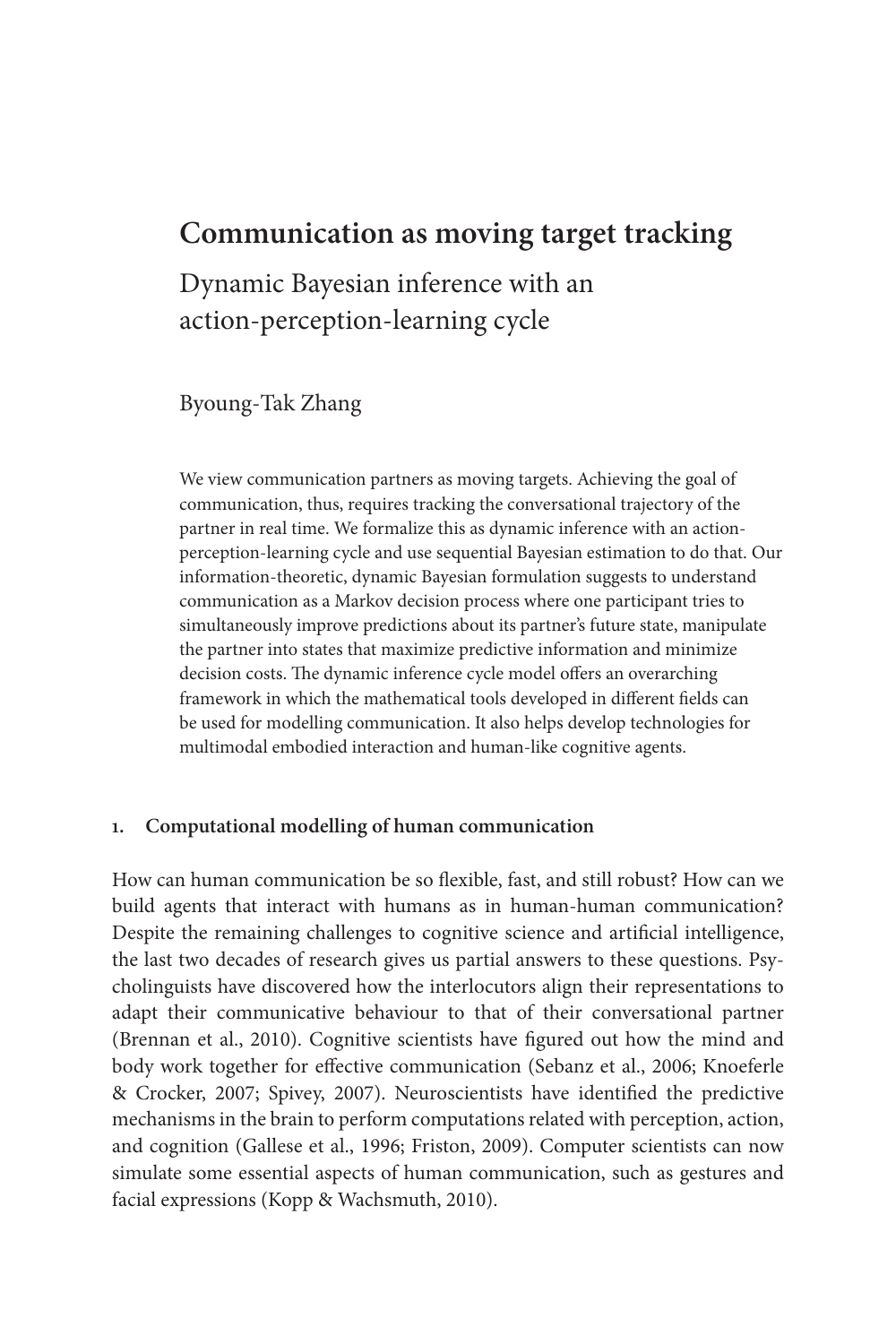# **Communication as moving target tracking**

Dynamic Bayesian inference with an action-perception-learning cycle

Byoung-Tak Zhang

We view communication partners as moving targets. Achieving the goal of communication, thus, requires tracking the conversational trajectory of the partner in real time. We formalize this as dynamic inference with an actionperception-learning cycle and use sequential Bayesian estimation to do that. Our information-theoretic, dynamic Bayesian formulation suggests to understand communication as a Markov decision process where one participant tries to simultaneously improve predictions about its partner's future state, manipulate the partner into states that maximize predictive information and minimize decision costs. The dynamic inference cycle model offers an overarching framework in which the mathematical tools developed in different fields can be used for modelling communication. It also helps develop technologies for multimodal embodied interaction and human-like cognitive agents.

# **1. Computational modelling of human communication**

How can human communication be so flexible, fast, and still robust? How can we build agents that interact with humans as in human-human communication? Despite the remaining challenges to cognitive science and artificial intelligence, the last two decades of research gives us partial answers to these questions. Psycholinguists have discovered how the interlocutors align their representations to adapt their communicative behaviour to that of their conversational partner (Brennan et al., 2010). Cognitive scientists have figured out how the mind and body work together for effective communication (Sebanz et al., 2006; Knoeferle & Crocker, 2007; Spivey, 2007). Neuroscientists have identified the predictive mechanisms in the brain to perform computations related with perception, action, and cognition (Gallese et al., 1996; Friston, 2009). Computer scientists can now simulate some essential aspects of human communication, such as gestures and facial expressions (Kopp & Wachsmuth, 2010).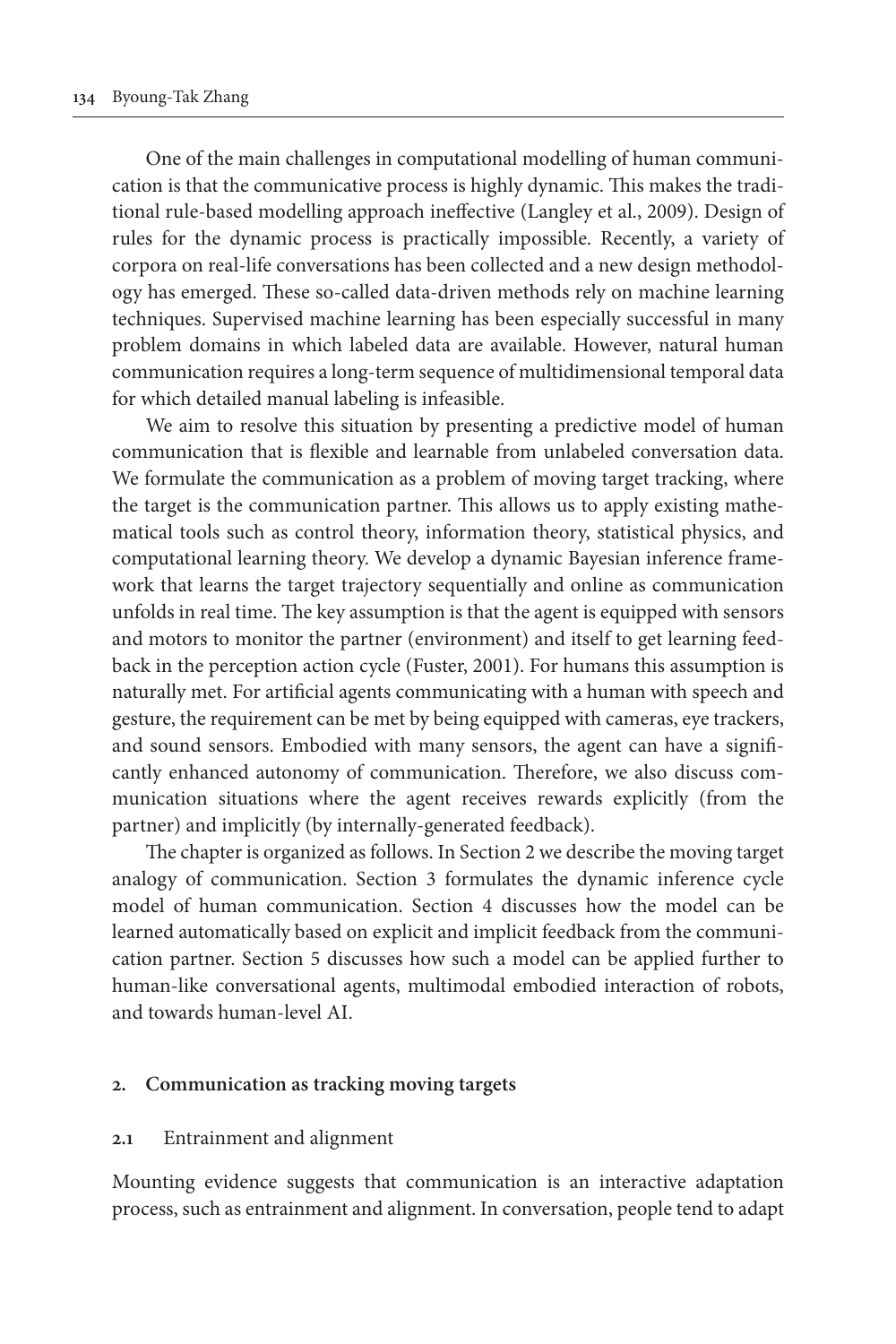One of the main challenges in computational modelling of human communication is that the communicative process is highly dynamic. This makes the traditional rule-based modelling approach ineffective (Langley et al., 2009). Design of rules for the dynamic process is practically impossible. Recently, a variety of corpora on real-life conversations has been collected and a new design methodology has emerged. These so-called data-driven methods rely on machine learning techniques. Supervised machine learning has been especially successful in many problem domains in which labeled data are available. However, natural human communication requires a long-term sequence of multidimensional temporal data for which detailed manual labeling is infeasible.

We aim to resolve this situation by presenting a predictive model of human communication that is flexible and learnable from unlabeled conversation data. We formulate the communication as a problem of moving target tracking, where the target is the communication partner. This allows us to apply existing mathematical tools such as control theory, information theory, statistical physics, and computational learning theory. We develop a dynamic Bayesian inference framework that learns the target trajectory sequentially and online as communication unfolds in real time. The key assumption is that the agent is equipped with sensors and motors to monitor the partner (environment) and itself to get learning feedback in the perception action cycle (Fuster, 2001). For humans this assumption is naturally met. For artificial agents communicating with a human with speech and gesture, the requirement can be met by being equipped with cameras, eye trackers, and sound sensors. Embodied with many sensors, the agent can have a significantly enhanced autonomy of communication. Therefore, we also discuss communication situations where the agent receives rewards explicitly (from the partner) and implicitly (by internally-generated feedback).

The chapter is organized as follows. In Section 2 we describe the moving target analogy of communication. Section 3 formulates the dynamic inference cycle model of human communication. Section 4 discusses how the model can be learned automatically based on explicit and implicit feedback from the communication partner. Section 5 discusses how such a model can be applied further to human-like conversational agents, multimodal embodied interaction of robots, and towards human-level AI.

## **2. Communication as tracking moving targets**

#### **2.1** Entrainment and alignment

Mounting evidence suggests that communication is an interactive adaptation process, such as entrainment and alignment. In conversation, people tend to adapt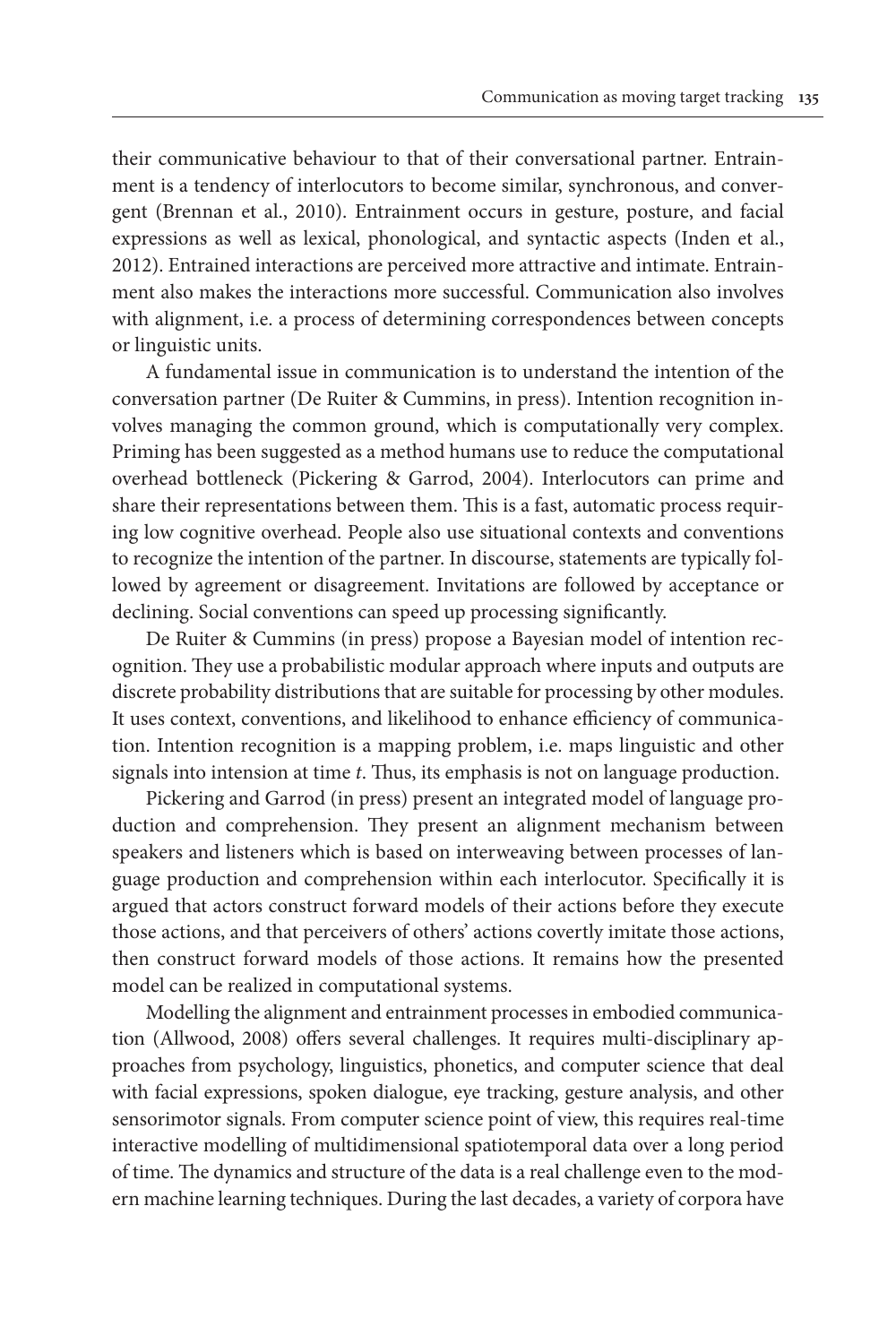their communicative behaviour to that of their conversational partner. Entrainment is a tendency of interlocutors to become similar, synchronous, and convergent (Brennan et al., 2010). Entrainment occurs in gesture, posture, and facial expressions as well as lexical, phonological, and syntactic aspects (Inden et al., 2012). Entrained interactions are perceived more attractive and intimate. Entrainment also makes the interactions more successful. Communication also involves with alignment, i.e. a process of determining correspondences between concepts or linguistic units.

A fundamental issue in communication is to understand the intention of the conversation partner (De Ruiter & Cummins, in press). Intention recognition involves managing the common ground, which is computationally very complex. Priming has been suggested as a method humans use to reduce the computational overhead bottleneck (Pickering & Garrod, 2004). Interlocutors can prime and share their representations between them. This is a fast, automatic process requiring low cognitive overhead. People also use situational contexts and conventions to recognize the intention of the partner. In discourse, statements are typically followed by agreement or disagreement. Invitations are followed by acceptance or declining. Social conventions can speed up processing significantly.

De Ruiter & Cummins (in press) propose a Bayesian model of intention recognition. They use a probabilistic modular approach where inputs and outputs are discrete probability distributions that are suitable for processing by other modules. It uses context, conventions, and likelihood to enhance efficiency of communication. Intention recognition is a mapping problem, i.e. maps linguistic and other signals into intension at time *t*. Thus, its emphasis is not on language production.

Pickering and Garrod (in press) present an integrated model of language production and comprehension. They present an alignment mechanism between speakers and listeners which is based on interweaving between processes of language production and comprehension within each interlocutor. Specifically it is argued that actors construct forward models of their actions before they execute those actions, and that perceivers of others' actions covertly imitate those actions, then construct forward models of those actions. It remains how the presented model can be realized in computational systems.

Modelling the alignment and entrainment processes in embodied communication (Allwood, 2008) offers several challenges. It requires multi-disciplinary approaches from psychology, linguistics, phonetics, and computer science that deal with facial expressions, spoken dialogue, eye tracking, gesture analysis, and other sensorimotor signals. From computer science point of view, this requires real-time interactive modelling of multidimensional spatiotemporal data over a long period of time. The dynamics and structure of the data is a real challenge even to the modern machine learning techniques. During the last decades, a variety of corpora have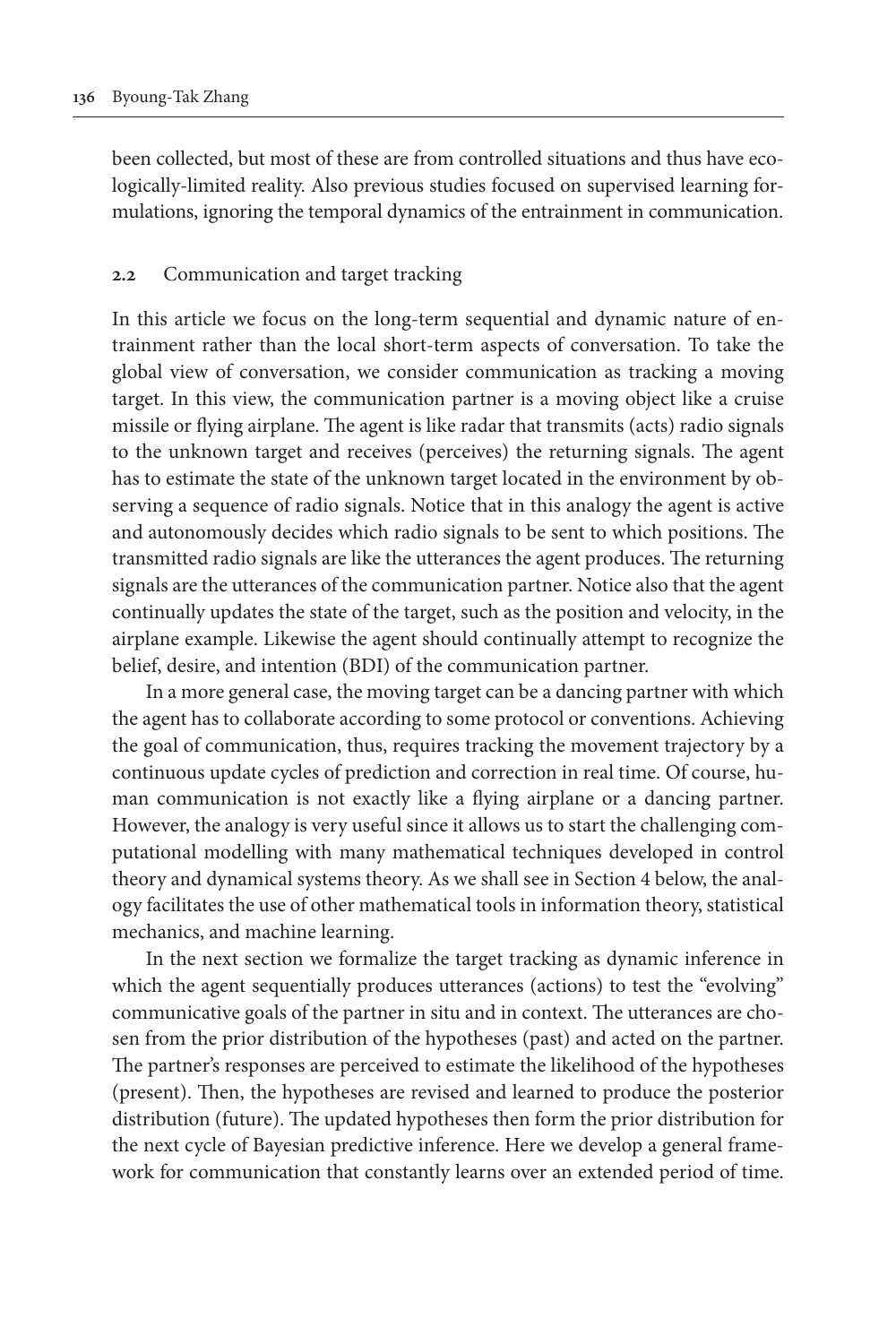been collected, but most of these are from controlled situations and thus have ecologically-limited reality. Also previous studies focused on supervised learning formulations, ignoring the temporal dynamics of the entrainment in communication.

# **2.2** Communication and target tracking

In this article we focus on the long-term sequential and dynamic nature of entrainment rather than the local short-term aspects of conversation. To take the global view of conversation, we consider communication as tracking a moving target. In this view, the communication partner is a moving object like a cruise missile or flying airplane. The agent is like radar that transmits (acts) radio signals to the unknown target and receives (perceives) the returning signals. The agent has to estimate the state of the unknown target located in the environment by observing a sequence of radio signals. Notice that in this analogy the agent is active and autonomously decides which radio signals to be sent to which positions. The transmitted radio signals are like the utterances the agent produces. The returning signals are the utterances of the communication partner. Notice also that the agent continually updates the state of the target, such as the position and velocity, in the airplane example. Likewise the agent should continually attempt to recognize the belief, desire, and intention (BDI) of the communication partner.

In a more general case, the moving target can be a dancing partner with which the agent has to collaborate according to some protocol or conventions. Achieving the goal of communication, thus, requires tracking the movement trajectory by a continuous update cycles of prediction and correction in real time. Of course, human communication is not exactly like a flying airplane or a dancing partner. However, the analogy is very useful since it allows us to start the challenging computational modelling with many mathematical techniques developed in control theory and dynamical systems theory. As we shall see in Section 4 below, the analogy facilitates the use of other mathematical tools in information theory, statistical mechanics, and machine learning.

In the next section we formalize the target tracking as dynamic inference in which the agent sequentially produces utterances (actions) to test the "evolving" communicative goals of the partner in situ and in context. The utterances are chosen from the prior distribution of the hypotheses (past) and acted on the partner. The partner's responses are perceived to estimate the likelihood of the hypotheses (present). Then, the hypotheses are revised and learned to produce the posterior distribution (future). The updated hypotheses then form the prior distribution for the next cycle of Bayesian predictive inference. Here we develop a general framework for communication that constantly learns over an extended period of time.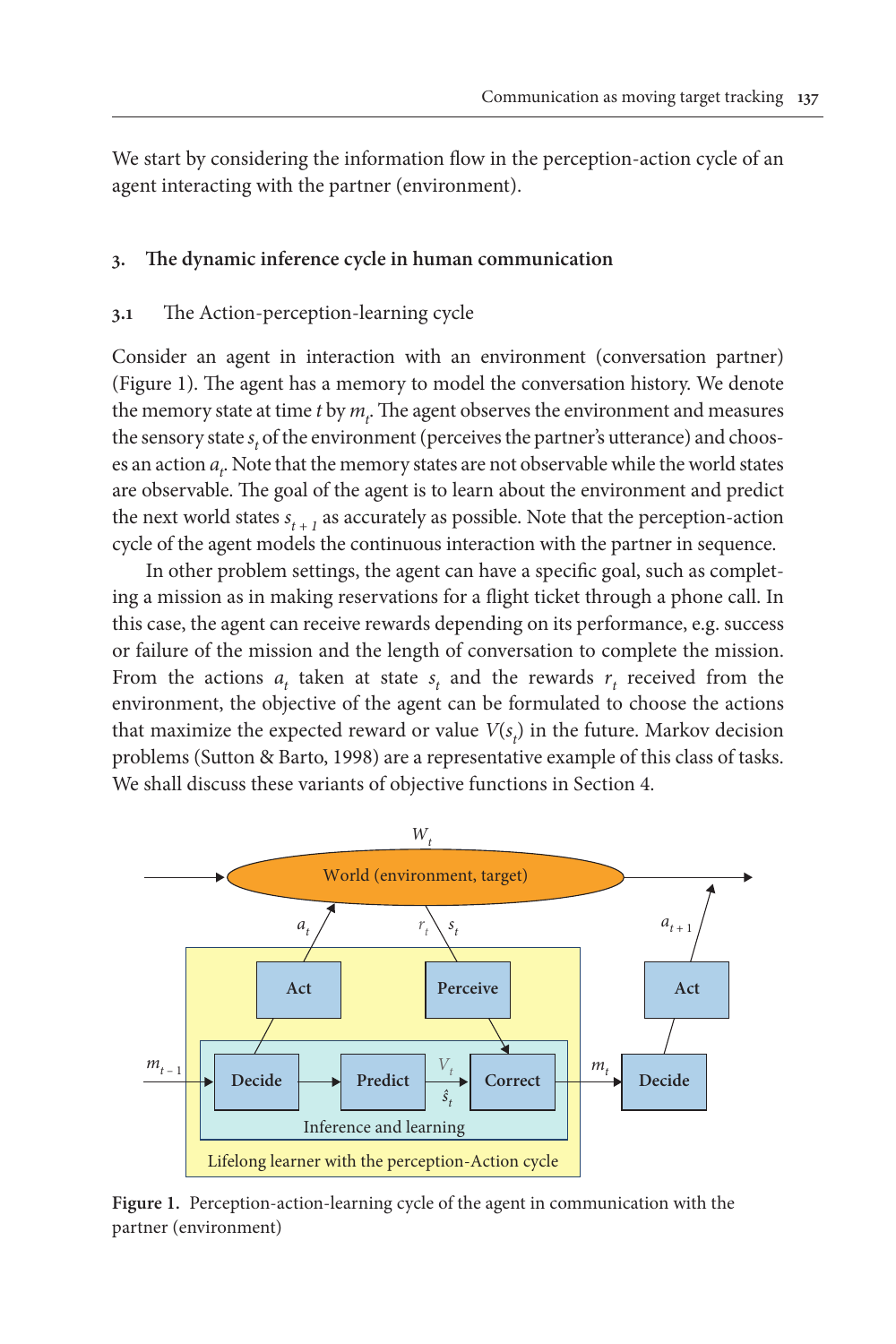We start by considering the information flow in the perception-action cycle of an agent interacting with the partner (environment).

## **3. The dynamic inference cycle in human communication**

# **3.1** The Action-perception-learning cycle

Consider an agent in interaction with an environment (conversation partner) (Figure 1). The agent has a memory to model the conversation history. We denote the memory state at time  $t$  by  $m_t$ . The agent observes the environment and measures the sensory state  $s^{}_{t}$  of the environment (perceives the partner's utterance) and chooses an action  $a_t$ . Note that the memory states are not observable while the world states are observable. The goal of the agent is to learn about the environment and predict the next world states  $s_{t+1}$  as accurately as possible. Note that the perception-action cycle of the agent models the continuous interaction with the partner in sequence.

In other problem settings, the agent can have a specific goal, such as completing a mission as in making reservations for a flight ticket through a phone call. In this case, the agent can receive rewards depending on its performance, e.g. success or failure of the mission and the length of conversation to complete the mission. From the actions  $a_t$  taken at state  $s_t$  and the rewards  $r_t$  received from the environment, the objective of the agent can be formulated to choose the actions that maximize the expected reward or value  $V(s_t)$  in the future. Markov decision problems (Sutton & Barto, 1998) are a representative example of this class of tasks. We shall discuss these variants of objective functions in Section 4.



**Figure 1.** Perception-action-learning cycle of the agent in communication with the partner (environment)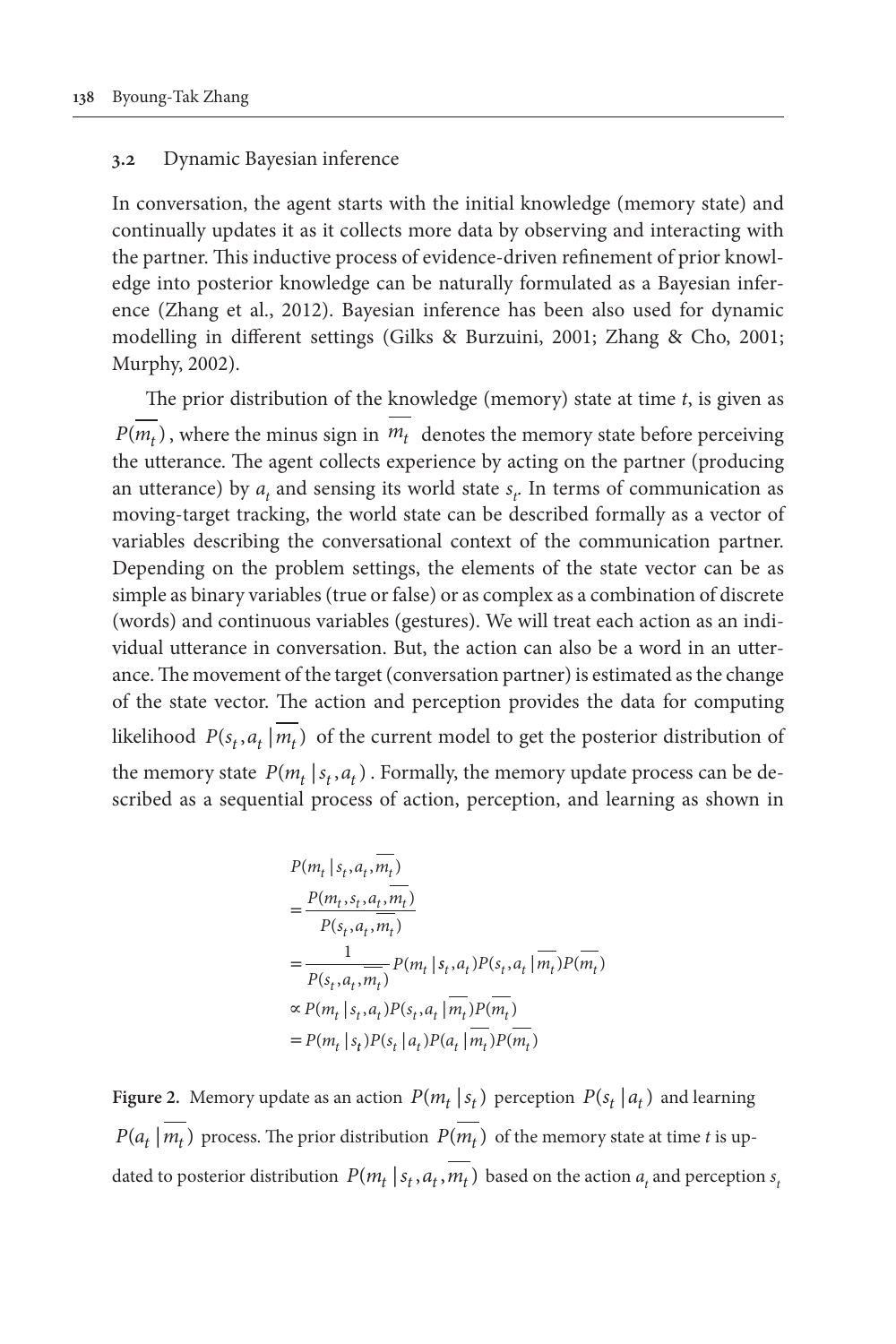#### **3.2** Dynamic Bayesian inference

In conversation, the agent starts with the initial knowledge (memory state) and continually updates it as it collects more data by observing and interacting with the partner. This inductive process of evidence-driven refinement of prior knowledge into posterior knowledge can be naturally formulated as a Bayesian inference (Zhang et al., 2012). Bayesian inference has been also used for dynamic modelling in different settings (Gilks & Burzuini, 2001; Zhang & Cho, 2001; Murphy, 2002).

The prior distribution of the knowledge (memory) state at time *t*, is given as  $P(m_t)$ , where the minus sign in  $m_t$  denotes the memory state before perceiving the utterance. The agent collects experience by acting on the partner (producing an utterance) by  $a_t$  and sensing its world state  $s_t$ . In terms of communication as moving-target tracking, the world state can be described formally as a vector of variables describing the conversational context of the communication partner. Depending on the problem settings, the elements of the state vector can be as simple as binary variables (true or false) or as complex as a combination of discrete (words) and continuous variables (gestures). We will treat each action as an individual utterance in conversation. But, the action can also be a word in an utterance. The movement of the target (conversation partner) is estimated as the change of the state vector. The action and perception provides the data for computing likelihood  $P(s_t, a_t | m_t)$  of the current model to get the posterior distribution of the memory state  $P(m_t | s_t, a_t)$ . Formally, the memory update process can be described as a sequential process of action, perception, and learning as shown in

$$
P(m_t | s_t, a_t, m_t) = \frac{P(m_t, s_t, a_t, m_t)}{P(s_t, a_t, m_t)} = \frac{1}{P(s_t, a_t, m_t)} P(m_t | s_t, a_t) P(s_t, a_t | m_t) P(m_t)
$$
  
\n
$$
\propto P(m_t | s_t, a_t) P(s_t, a_t | m_t) P(m_t)
$$
  
\n
$$
= P(m_t | s_t) P(s_t | a_t) P(a_t | m_t) P(m_t)
$$

**Figure 2.** Memory update as an action  $P(m_t | s_t)$  perception  $P(s_t | a_t)$  and learning  $P(a_t | m_t)$  process. The prior distribution  $P(m_t)$  of the memory state at time *t* is updated to posterior distribution  $P(m_t | s_t, a_t, m_t)$  based on the action  $a_t$  and perception  $s_t$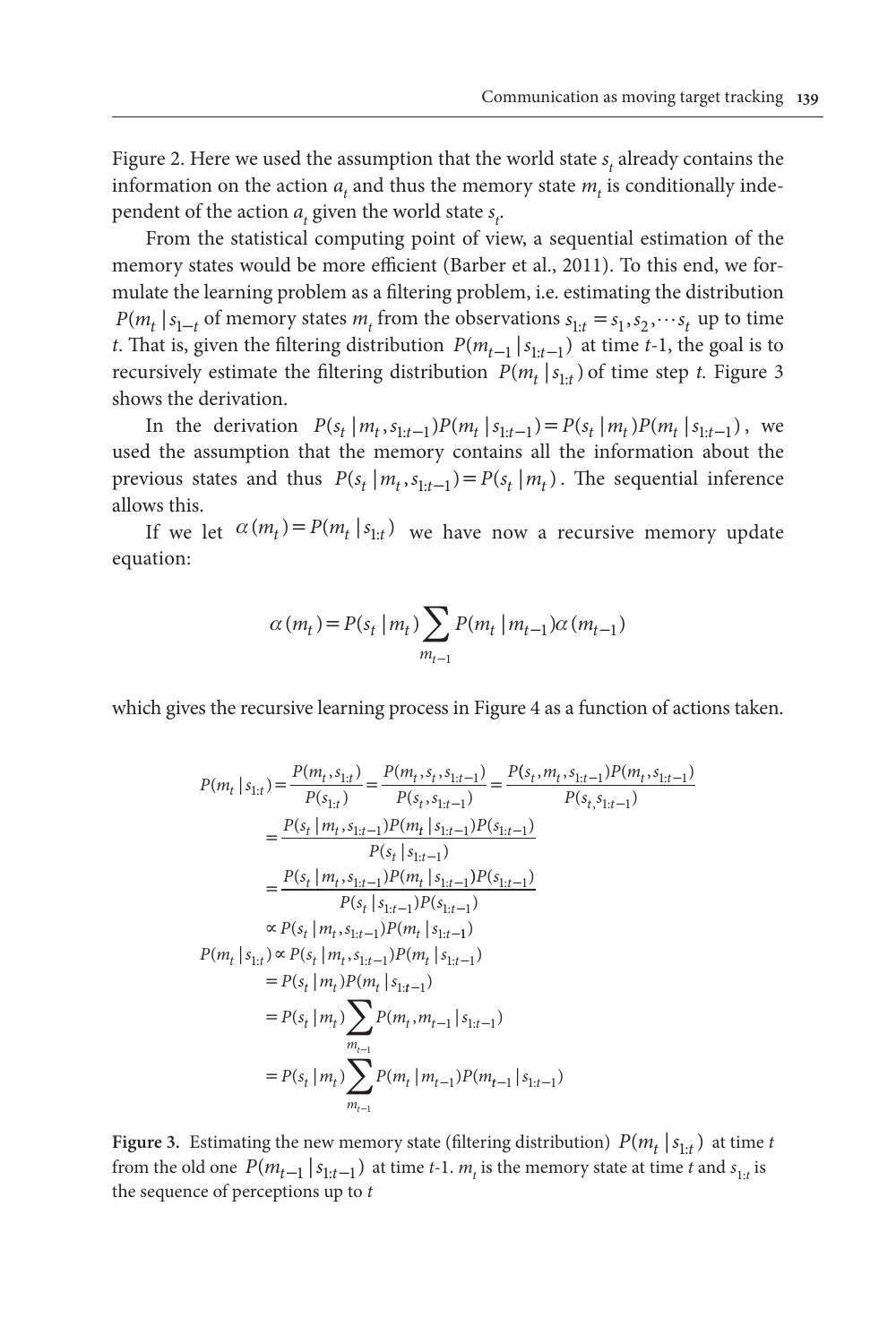Figure 2. Here we used the assumption that the world state  $s_t$  already contains the information on the action  $a_t$  and thus the memory state  $m_t$  is conditionally independent of the action  $a_t$  given the world state  $s_t$ .

From the statistical computing point of view, a sequential estimation of the memory states would be more efficient (Barber et al., 2011). To this end, we formulate the learning problem as a filtering problem, i.e. estimating the distribution  $P(m_t | s_{1-t}$  of memory states  $m_t$  from the observations  $s_{1:t} = s_1, s_2, \dots s_t$  up to time *t*. That is, given the filtering distribution  $P(m_{t-1} | s_{t+1})$  at time *t*-1, the goal is to recursively estimate the filtering distribution  $P(m_t | s_{1:t})$  of time step *t*. Figure 3 shows the derivation.

In the derivation  $P(s_t | m_t, s_{1:t-1}) P(m_t | s_{1:t-1}) = P(s_t | m_t) P(m_t | s_{1:t-1})$ , we used the assumption that the memory contains all the information about the previous states and thus  $P(s_t | m_t, s_{1:t-1}) = P(s_t | m_t)$ . The sequential inference allows this.

If we let  $\alpha$ ( $m_t$ ) =  $P(m_t | s_{1:t})$  we have now a recursive memory update equation:

$$
\alpha(m_t) = P(s_t \mid m_t) \sum_{m_{t-1}} P(m_t \mid m_{t-1}) \alpha(m_{t-1})
$$

which gives the recursive learning process in Figure 4 as a function of actions taken.

$$
P(m_t | s_{1:t}) = \frac{P(m_t, s_{1:t})}{P(s_{1:t})} = \frac{P(m_t, s_t, s_{1:t-1})}{P(s_t, s_{1:t-1})} = \frac{P(s_t, m_t, s_{1:t-1})P(m_t, s_{1:t-1})}{P(s_t, s_{1:t-1})}
$$
  
\n
$$
= \frac{P(s_t | m_t, s_{1:t-1})P(m_t | s_{1:t-1})P(s_{1:t-1})}{P(s_t | s_{1:t-1})}
$$
  
\n
$$
= \frac{P(s_t | m_t, s_{1:t-1})P(m_t | s_{1:t-1})P(s_{1:t-1})}{P(s_t | s_{1:t-1})P(s_{1:t-1})}
$$
  
\n
$$
\propto P(s_t | m_t, s_{1:t-1})P(m_t | s_{1:t-1})
$$
  
\n
$$
P(m_t | s_{1:t}) \propto P(s_t | m_t, s_{1:t-1})P(m_t | s_{1:t-1})
$$
  
\n
$$
= P(s_t | m_t)P(m_t | s_{1:t-1})
$$
  
\n
$$
= P(s_t | m_t) \sum_{m_{t-1}} P(m_t, m_{t-1} | s_{1:t-1})
$$
  
\n
$$
= P(s_t | m_t) \sum_{m_{t-1}} P(m_t | m_{t-1})P(m_{t-1} | s_{1:t-1})
$$

**Figure 3.** Estimating the new memory state (filtering distribution)  $P(m_t | s_{1:t})$  at time *t* from the old one  $P(m_{t-1} | s_{1:t-1})$  at time *t*-1.  $m_t$  is the memory state at time *t* and  $s_{1:t}$  is the sequence of perceptions up to *t*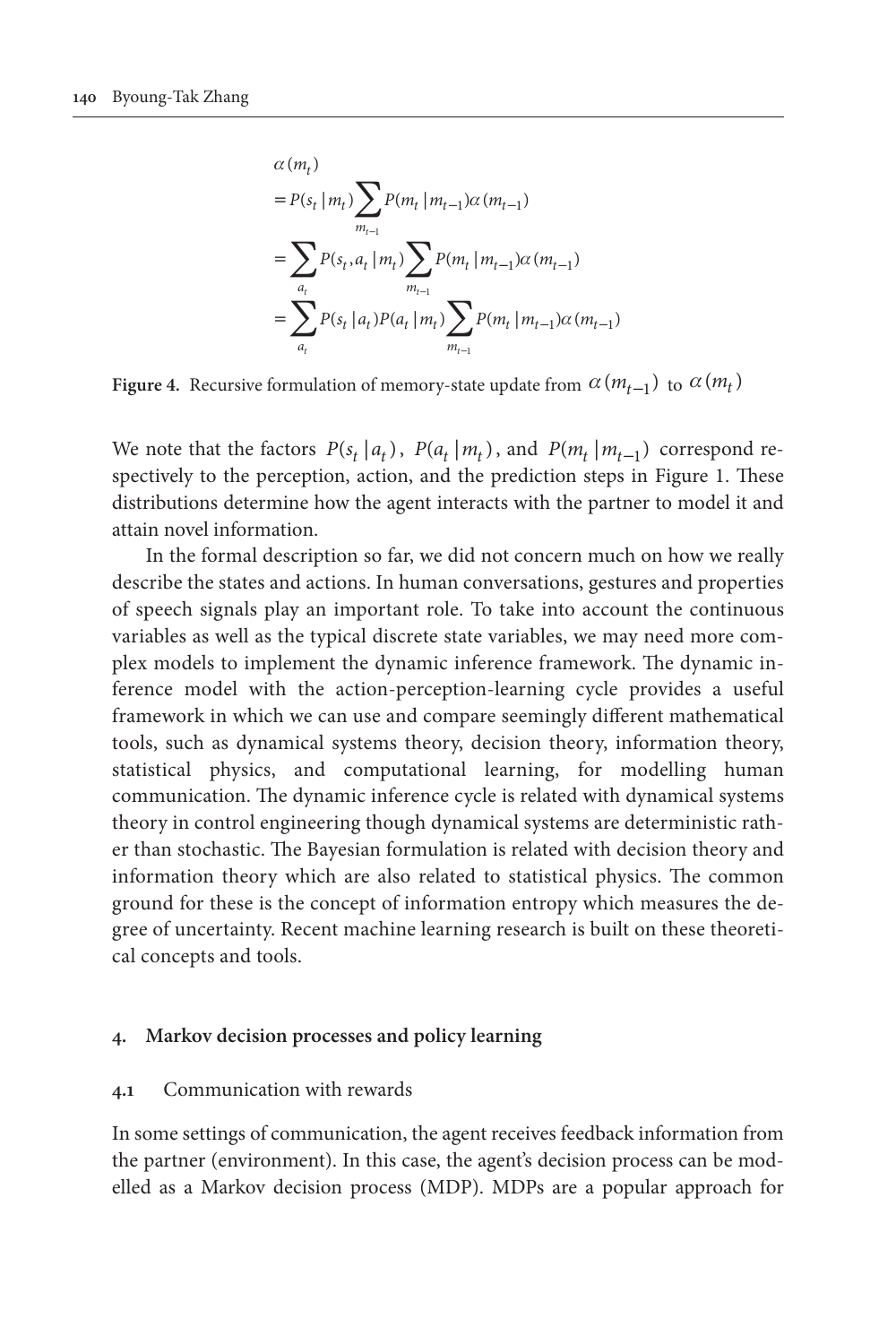$$
\alpha(m_t)
$$
  
=  $P(s_t | m_t) \sum_{m_{t-1}} P(m_t | m_{t-1}) \alpha(m_{t-1})$   
=  $\sum_{a_t} P(s_t, a_t | m_t) \sum_{m_{t-1}} P(m_t | m_{t-1}) \alpha(m_{t-1})$   
=  $\sum_{a_t} P(s_t | a_t) P(a_t | m_t) \sum_{m_{t-1}} P(m_t | m_{t-1}) \alpha(m_{t-1})$ 

**Figure 4.** Recursive formulation of memory-state update from  $\alpha$  ( $m_{t-1}$ ) to  $\alpha$  ( $m_t$ )

We note that the factors  $P(s_t | a_t)$ ,  $P(a_t | m_t)$ , and  $P(m_t | m_{t-1})$  correspond respectively to the perception, action, and the prediction steps in Figure 1. These distributions determine how the agent interacts with the partner to model it and attain novel information.

In the formal description so far, we did not concern much on how we really describe the states and actions. In human conversations, gestures and properties of speech signals play an important role. To take into account the continuous variables as well as the typical discrete state variables, we may need more complex models to implement the dynamic inference framework. The dynamic inference model with the action-perception-learning cycle provides a useful framework in which we can use and compare seemingly different mathematical tools, such as dynamical systems theory, decision theory, information theory, statistical physics, and computational learning, for modelling human communication. The dynamic inference cycle is related with dynamical systems theory in control engineering though dynamical systems are deterministic rather than stochastic. The Bayesian formulation is related with decision theory and information theory which are also related to statistical physics. The common ground for these is the concept of information entropy which measures the degree of uncertainty. Recent machine learning research is built on these theoretical concepts and tools.

## **4. Markov decision processes and policy learning**

# **4.1** Communication with rewards

In some settings of communication, the agent receives feedback information from the partner (environment). In this case, the agent's decision process can be modelled as a Markov decision process (MDP). MDPs are a popular approach for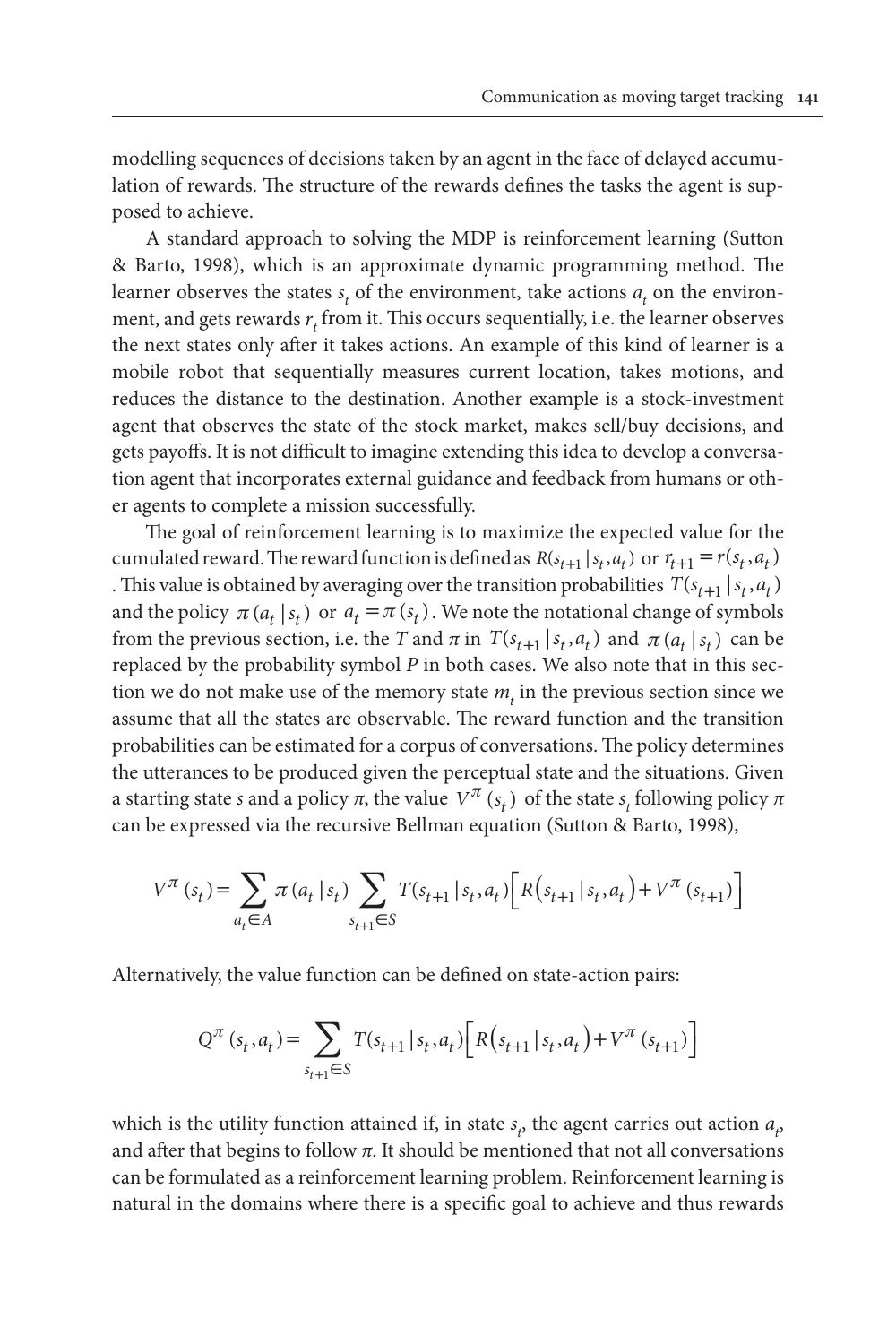modelling sequences of decisions taken by an agent in the face of delayed accumulation of rewards. The structure of the rewards defines the tasks the agent is supposed to achieve.

A standard approach to solving the MDP is reinforcement learning (Sutton & Barto, 1998), which is an approximate dynamic programming method. The learner observes the states  $s_t$  of the environment, take actions  $a_t$  on the environment, and gets rewards  $r_{\rm t}$  from it. This occurs sequentially, i.e. the learner observes the next states only after it takes actions. An example of this kind of learner is a mobile robot that sequentially measures current location, takes motions, and reduces the distance to the destination. Another example is a stock-investment agent that observes the state of the stock market, makes sell/buy decisions, and gets payoffs. It is not difficult to imagine extending this idea to develop a conversation agent that incorporates external guidance and feedback from humans or other agents to complete a mission successfully.

The goal of reinforcement learning is to maximize the expected value for the cumulated reward. The reward function is defined as  $R(s_{t+1} | s_t, a_t)$  or  $r_{t+1} = r(s_t, a_t)$ . This value is obtained by averaging over the transition probabilities  $T(s_{t+1} | s_t, a_t)$ and the policy  $\pi$  ( $a_t | s_t$ ) or  $a_t = \pi$  ( $s_t$ ). We note the notational change of symbols from the previous section, i.e. the *T* and  $\pi$  in  $T(s_{t+1} | s_t, a_t)$  and  $\pi(a_t | s_t)$  can be replaced by the probability symbol *P* in both cases. We also note that in this section we do not make use of the memory state  $m_t$  in the previous section since we assume that all the states are observable. The reward function and the transition probabilities can be estimated for a corpus of conversations. The policy determines the utterances to be produced given the perceptual state and the situations. Given a starting state *s* and a policy  $\pi$ , the value  $V^{\pi}(s_t)$  of the state  $s_t$  following policy  $\pi$ can be expressed via the recursive Bellman equation (Sutton & Barto, 1998),

$$
V^{\pi}(s_t) = \sum_{a_t \in A} \pi(a_t | s_t) \sum_{s_{t+1} \in S} T(s_{t+1} | s_t, a_t) \left[ R(s_{t+1} | s_t, a_t) + V^{\pi}(s_{t+1}) \right]
$$

Alternatively, the value function can be defined on state-action pairs:

$$
Q^{\pi}(s_t, a_t) = \sum_{s_{t+1} \in S} T(s_{t+1} | s_t, a_t) \bigg[ R(s_{t+1} | s_t, a_t) + V^{\pi}(s_{t+1}) \bigg]
$$

which is the utility function attained if, in state  $s_t$ , the agent carries out action  $a_t$ , and after that begins to follow  $\pi$ . It should be mentioned that not all conversations can be formulated as a reinforcement learning problem. Reinforcement learning is natural in the domains where there is a specific goal to achieve and thus rewards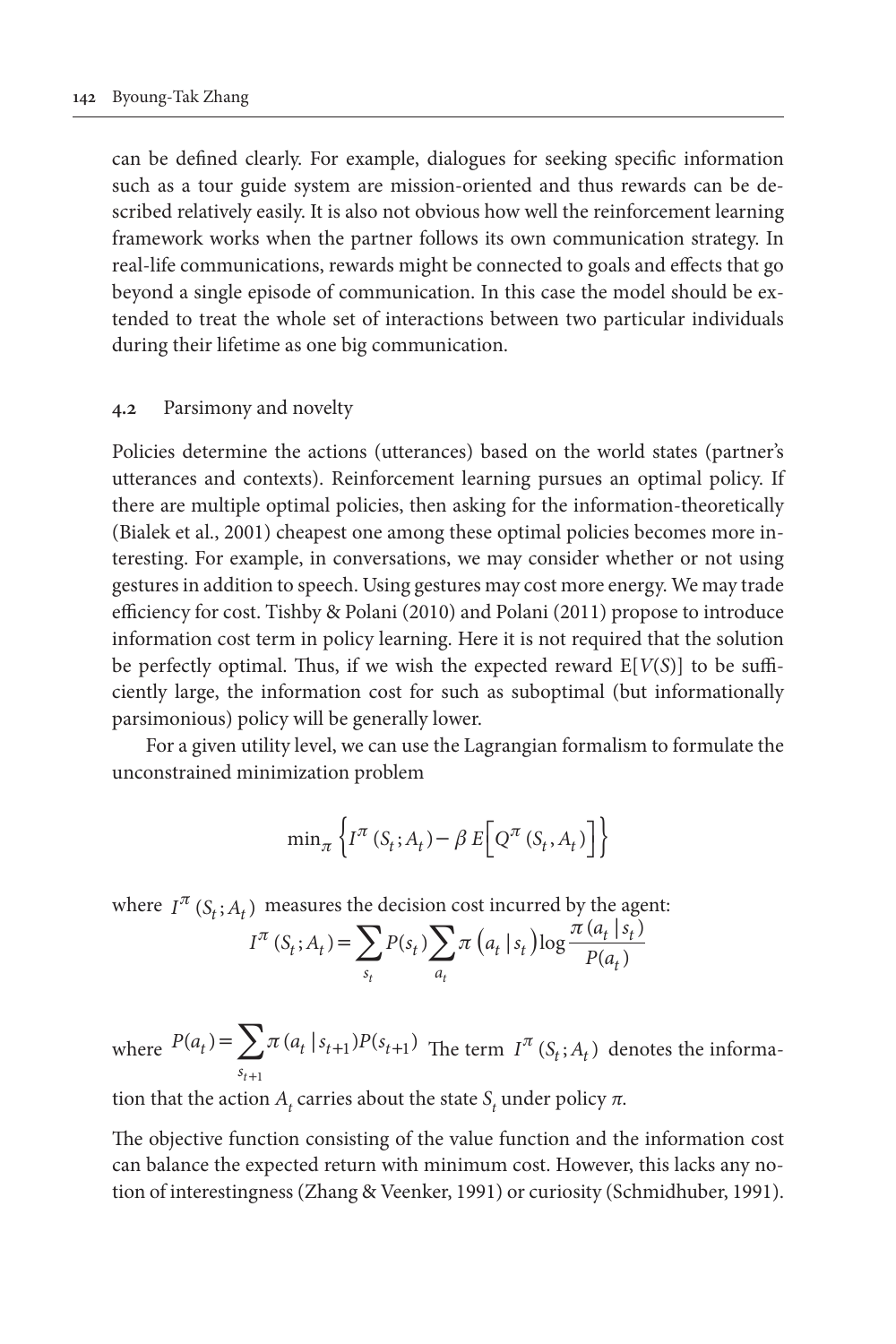can be defined clearly. For example, dialogues for seeking specific information such as a tour guide system are mission-oriented and thus rewards can be described relatively easily. It is also not obvious how well the reinforcement learning framework works when the partner follows its own communication strategy. In real-life communications, rewards might be connected to goals and effects that go beyond a single episode of communication. In this case the model should be extended to treat the whole set of interactions between two particular individuals during their lifetime as one big communication.

# **4.2** Parsimony and novelty

Policies determine the actions (utterances) based on the world states (partner's utterances and contexts). Reinforcement learning pursues an optimal policy. If there are multiple optimal policies, then asking for the information-theoretically (Bialek et al., 2001) cheapest one among these optimal policies becomes more interesting. For example, in conversations, we may consider whether or not using gestures in addition to speech. Using gestures may cost more energy. We may trade efficiency for cost. Tishby & Polani (2010) and Polani (2011) propose to introduce information cost term in policy learning. Here it is not required that the solution be perfectly optimal. Thus, if we wish the expected reward E[*V*(*S*)] to be sufficiently large, the information cost for such as suboptimal (but informationally parsimonious) policy will be generally lower.

For a given utility level, we can use the Lagrangian formalism to formulate the unconstrained minimization problem

$$
\min_{\pi} \left\{ I^{\pi} \left( S_t; A_t \right) - \beta \, E \bigg[ Q^{\pi} \left( S_t, A_t \right) \bigg] \right\}
$$

where  $I^{\pi}(S_t; A_t)$  measures the decision cost incurred by the agent:

$$
I^{\pi}(S_t; A_t) = \sum_{s_t} P(s_t) \sum_{a_t} \pi\left(a_t \mid s_t\right) \log \frac{\pi(a_t \mid s_t)}{P(a_t)}
$$

where  $P(a_t) = \sum_{t} \pi (a_t | s_{t+1}) P(s_t)$ *st*  $(a_t) = \sum \pi (a_t | s_{t+1}) P(s_{t+1})$  $^{+}$  $\sum \pi (a_t | s_{t+1}) P(s_{t+1})$ 1 The term  $I^{\pi}(S_t; A_t)$  denotes the informa-

tion that the action  $A_t$  carries about the state  $S_t$  under policy  $\pi$ .

The objective function consisting of the value function and the information cost can balance the expected return with minimum cost. However, this lacks any notion of interestingness (Zhang & Veenker, 1991) or curiosity (Schmidhuber, 1991).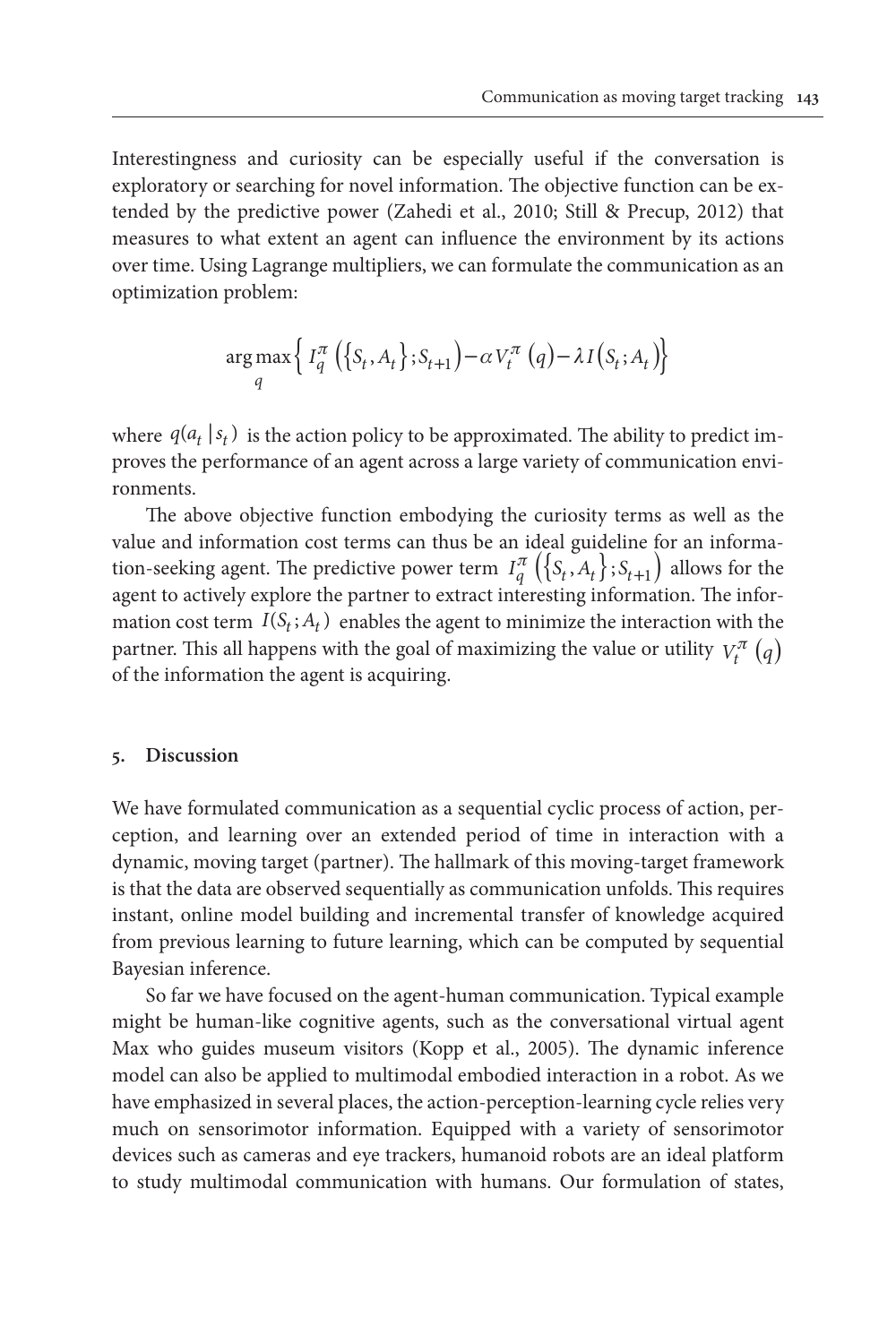Interestingness and curiosity can be especially useful if the conversation is exploratory or searching for novel information. The objective function can be extended by the predictive power (Zahedi et al., 2010; Still & Precup, 2012) that measures to what extent an agent can influence the environment by its actions over time. Using Lagrange multipliers, we can formulate the communication as an optimization problem:

$$
\underset{q}{\arg \max} \left\{ I_q^{\pi} \left( \left\{ S_t, A_t \right\} ; S_{t+1} \right) - \alpha V_t^{\pi} \left( q \right) - \lambda I \left( S_t; A_t \right) \right\}
$$

where  $q(a_t | s_t)$  is the action policy to be approximated. The ability to predict improves the performance of an agent across a large variety of communication environments.

The above objective function embodying the curiosity terms as well as the value and information cost terms can thus be an ideal guideline for an information-seeking agent. The predictive power term  $I_a^{\pi}(\{S_t, A_t\}; S_{t+1})$  allows for the agent to actively explore the partner to extract interesting information. The information cost term  $I(S_t; A_t)$  enables the agent to minimize the interaction with the partner. This all happens with the goal of maximizing the value or utility  $V_t^{\pi}(q)$ of the information the agent is acquiring.

## **5. Discussion**

We have formulated communication as a sequential cyclic process of action, perception, and learning over an extended period of time in interaction with a dynamic, moving target (partner). The hallmark of this moving-target framework is that the data are observed sequentially as communication unfolds. This requires instant, online model building and incremental transfer of knowledge acquired from previous learning to future learning, which can be computed by sequential Bayesian inference.

So far we have focused on the agent-human communication. Typical example might be human-like cognitive agents, such as the conversational virtual agent Max who guides museum visitors (Kopp et al., 2005). The dynamic inference model can also be applied to multimodal embodied interaction in a robot. As we have emphasized in several places, the action-perception-learning cycle relies very much on sensorimotor information. Equipped with a variety of sensorimotor devices such as cameras and eye trackers, humanoid robots are an ideal platform to study multimodal communication with humans. Our formulation of states,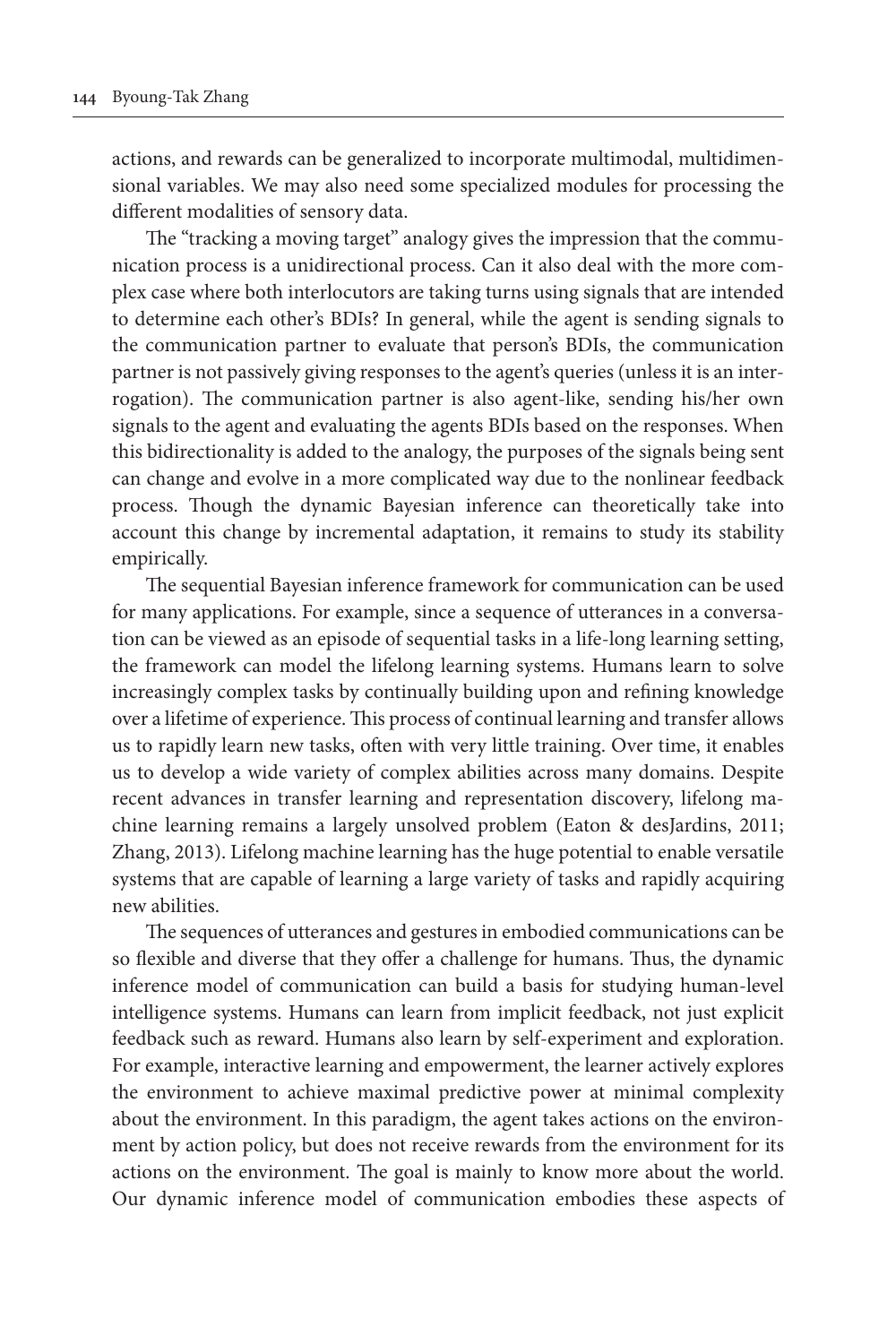actions, and rewards can be generalized to incorporate multimodal, multidimensional variables. We may also need some specialized modules for processing the different modalities of sensory data.

The "tracking a moving target" analogy gives the impression that the communication process is a unidirectional process. Can it also deal with the more complex case where both interlocutors are taking turns using signals that are intended to determine each other's BDIs? In general, while the agent is sending signals to the communication partner to evaluate that person's BDIs, the communication partner is not passively giving responses to the agent's queries (unless it is an interrogation). The communication partner is also agent-like, sending his/her own signals to the agent and evaluating the agents BDIs based on the responses. When this bidirectionality is added to the analogy, the purposes of the signals being sent can change and evolve in a more complicated way due to the nonlinear feedback process. Though the dynamic Bayesian inference can theoretically take into account this change by incremental adaptation, it remains to study its stability empirically.

The sequential Bayesian inference framework for communication can be used for many applications. For example, since a sequence of utterances in a conversation can be viewed as an episode of sequential tasks in a life-long learning setting, the framework can model the lifelong learning systems. Humans learn to solve increasingly complex tasks by continually building upon and refining knowledge over a lifetime of experience. This process of continual learning and transfer allows us to rapidly learn new tasks, often with very little training. Over time, it enables us to develop a wide variety of complex abilities across many domains. Despite recent advances in transfer learning and representation discovery, lifelong machine learning remains a largely unsolved problem (Eaton & desJardins, 2011; Zhang, 2013). Lifelong machine learning has the huge potential to enable versatile systems that are capable of learning a large variety of tasks and rapidly acquiring new abilities.

The sequences of utterances and gestures in embodied communications can be so flexible and diverse that they offer a challenge for humans. Thus, the dynamic inference model of communication can build a basis for studying human-level intelligence systems. Humans can learn from implicit feedback, not just explicit feedback such as reward. Humans also learn by self-experiment and exploration. For example, interactive learning and empowerment, the learner actively explores the environment to achieve maximal predictive power at minimal complexity about the environment. In this paradigm, the agent takes actions on the environment by action policy, but does not receive rewards from the environment for its actions on the environment. The goal is mainly to know more about the world. Our dynamic inference model of communication embodies these aspects of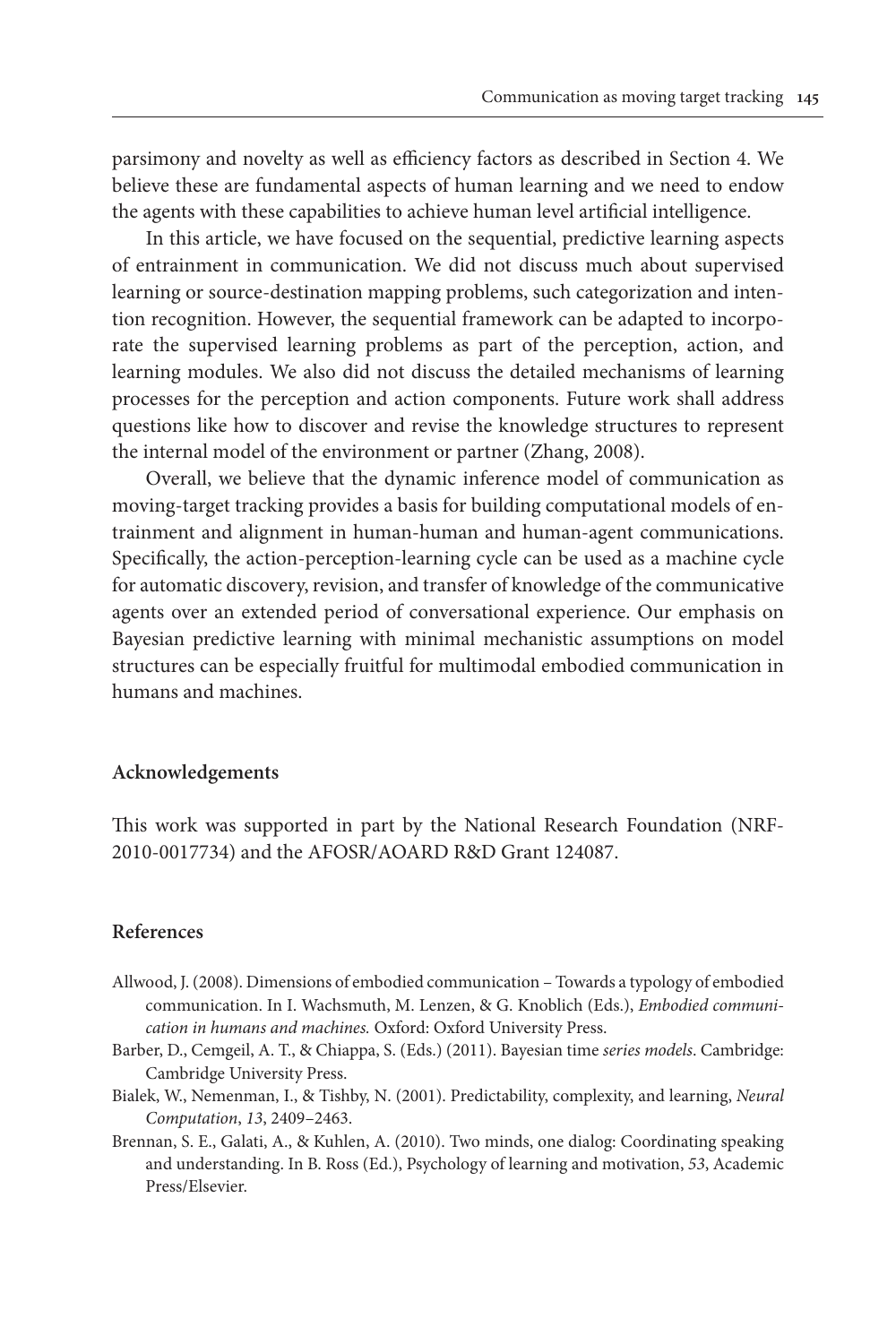parsimony and novelty as well as efficiency factors as described in Section 4. We believe these are fundamental aspects of human learning and we need to endow the agents with these capabilities to achieve human level artificial intelligence.

In this article, we have focused on the sequential, predictive learning aspects of entrainment in communication. We did not discuss much about supervised learning or source-destination mapping problems, such categorization and intention recognition. However, the sequential framework can be adapted to incorporate the supervised learning problems as part of the perception, action, and learning modules. We also did not discuss the detailed mechanisms of learning processes for the perception and action components. Future work shall address questions like how to discover and revise the knowledge structures to represent the internal model of the environment or partner (Zhang, 2008).

Overall, we believe that the dynamic inference model of communication as moving-target tracking provides a basis for building computational models of entrainment and alignment in human-human and human-agent communications. Specifically, the action-perception-learning cycle can be used as a machine cycle for automatic discovery, revision, and transfer of knowledge of the communicative agents over an extended period of conversational experience. Our emphasis on Bayesian predictive learning with minimal mechanistic assumptions on model structures can be especially fruitful for multimodal embodied communication in humans and machines.

# **Acknowledgements**

This work was supported in part by the National Research Foundation (NRF-2010-0017734) and the AFOSR/AOARD R&D Grant 124087.

# **References**

- Allwood, J. (2008). Dimensions of embodied communication Towards a typology of embodied communication. In I. Wachsmuth, M. Lenzen, & G. Knoblich (Eds.), *Embodied communication in humans and machines.* Oxford: Oxford University Press.
- Barber, D., Cemgeil, A. T., & Chiappa, S. (Eds.) (2011). Bayesian time *series models*. Cambridge: Cambridge University Press.
- Bialek, W., Nemenman, I., & Tishby, N. (2001). Predictability, complexity, and learning, *Neural Computation*, *13*, 2409–2463.
- Brennan, S. E., Galati, A., & Kuhlen, A. (2010). Two minds, one dialog: Coordinating speaking and understanding. In B. Ross (Ed.), Psychology of learning and motivation, *53*, Academic Press/Elsevier.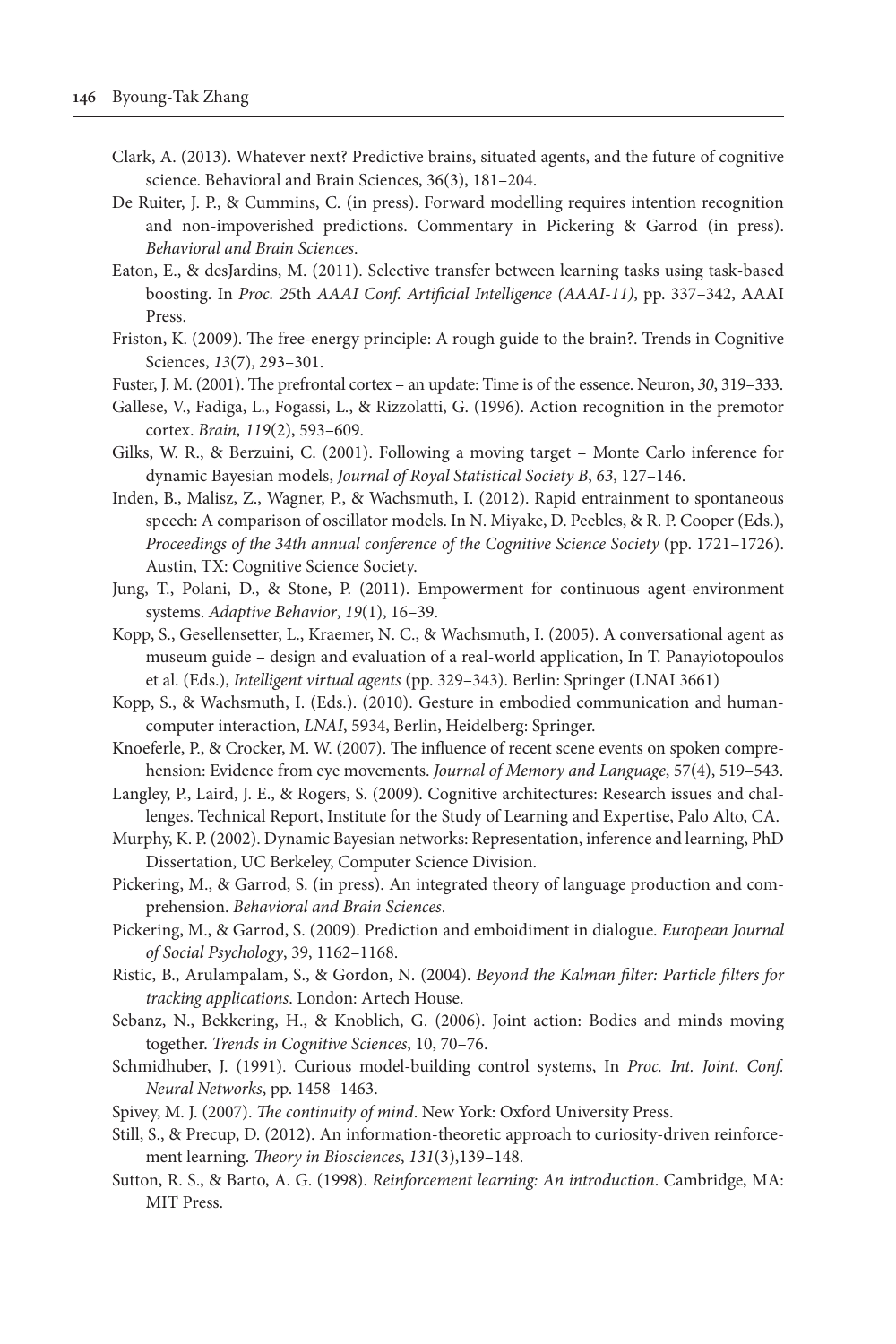- Clark, A. (2013). Whatever next? Predictive brains, situated agents, and the future of cognitive science. Behavioral and Brain Sciences, 36(3), 181–204.
- De Ruiter, J. P., & Cummins, C. (in press). Forward modelling requires intention recognition and non-impoverished predictions. Commentary in Pickering & Garrod (in press). *Behavioral and Brain Sciences*.
- Eaton, E., & desJardins, M. (2011). Selective transfer between learning tasks using task-based boosting. In *Proc. 25*th *AAAI Conf. Artificial Intelligence (AAAI-11)*, pp. 337–342, AAAI Press.
- Friston, K. (2009). The free-energy principle: A rough guide to the brain?. Trends in Cognitive Sciences, *13*(7), 293–301.
- Fuster, J. M. (2001). The prefrontal cortex an update: Time is of the essence. Neuron, *30*, 319–333.
- Gallese, V., Fadiga, L., Fogassi, L., & Rizzolatti, G. (1996). Action recognition in the premotor cortex. *Brain, 119*(2), 593–609.
- Gilks, W. R., & Berzuini, C. (2001). Following a moving target Monte Carlo inference for dynamic Bayesian models, *Journal of Royal Statistical Society B*, *63*, 127–146.
- Inden, B., Malisz, Z., Wagner, P., & Wachsmuth, I. (2012). Rapid entrainment to spontaneous speech: A comparison of oscillator models. In N. Miyake, D. Peebles, & R. P. Cooper (Eds.), *Proceedings of the 34th annual conference of the Cognitive Science Society* (pp. 1721–1726). Austin, TX: Cognitive Science Society.
- Jung, T., Polani, D., & Stone, P. (2011). Empowerment for continuous agent-environment systems. *Adaptive Behavior*, *19*(1), 16–39.
- Kopp, S., Gesellensetter, L., Kraemer, N. C., & Wachsmuth, I. (2005). A conversational agent as museum guide – design and evaluation of a real-world application, In T. Panayiotopoulos et al. (Eds.), *Intelligent virtual agents* (pp. 329–343). Berlin: Springer (LNAI 3661)
- Kopp, S., & Wachsmuth, I. (Eds.). (2010). Gesture in embodied communication and humancomputer interaction, *LNAI*, 5934, Berlin, Heidelberg: Springer.
- Knoeferle, P., & Crocker, M. W. (2007). The influence of recent scene events on spoken comprehension: Evidence from eye movements. *Journal of Memory and Language*, 57(4), 519–543.
- Langley, P., Laird, J. E., & Rogers, S. (2009). Cognitive architectures: Research issues and challenges. Technical Report, Institute for the Study of Learning and Expertise, Palo Alto, CA.
- Murphy, K. P. (2002). Dynamic Bayesian networks: Representation, inference and learning, PhD Dissertation, UC Berkeley, Computer Science Division.
- Pickering, M., & Garrod, S. (in press). An integrated theory of language production and comprehension. *Behavioral and Brain Sciences*.
- Pickering, M., & Garrod, S. (2009). Prediction and emboidiment in dialogue. *European Journal of Social Psychology*, 39, 1162–1168.
- Ristic, B., Arulampalam, S., & Gordon, N. (2004). *Beyond the Kalman filter: Particle filters for tracking applications*. London: Artech House.
- Sebanz, N., Bekkering, H., & Knoblich, G. (2006). Joint action: Bodies and minds moving together. *Trends in Cognitive Sciences*, 10, 70–76.
- Schmidhuber, J. (1991). Curious model-building control systems, In *Proc. Int. Joint. Conf. Neural Networks*, pp. 1458–1463.
- Spivey, M. J. (2007). *The continuity of mind*. New York: Oxford University Press.
- Still, S., & Precup, D. (2012). An information-theoretic approach to curiosity-driven reinforcement learning. *Theory in Biosciences*, *131*(3),139–148.
- Sutton, R. S., & Barto, A. G. (1998). *Reinforcement learning: An introduction*. Cambridge, MA: MIT Press.